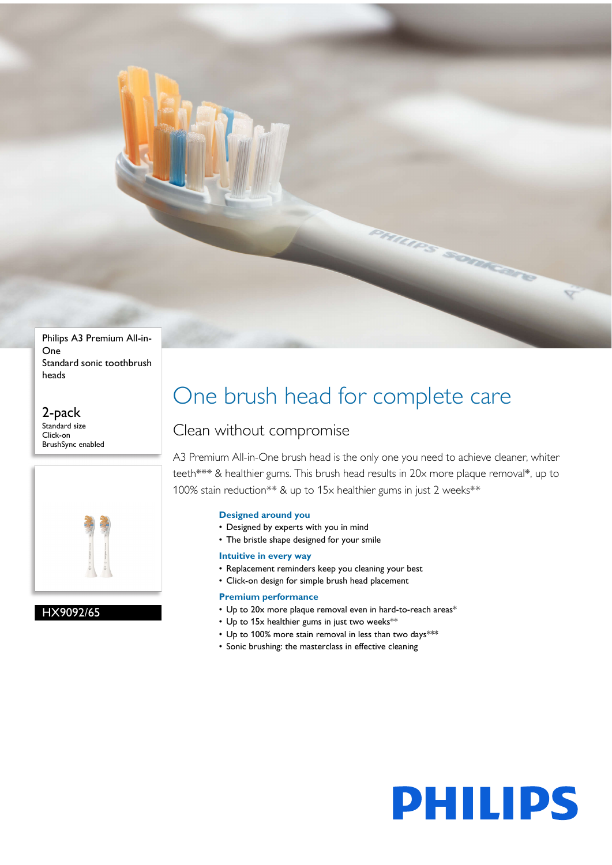

Philips A3 Premium All-in-One Standard sonic toothbrush heads

2-pack Standard size Click-on BrushSync enabled



# HX9092/65

# One brush head for complete care

# Clean without compromise

A3 Premium All-in-One brush head is the only one you need to achieve cleaner, whiter teeth\*\*\* & healthier gums. This brush head results in 20x more plaque removal\*, up to 100% stain reduction\*\* & up to 15x healthier gums in just 2 weeks\*\*

# **Designed around you**

- Designed by experts with you in mind
- The bristle shape designed for your smile

# **Intuitive in every way**

- Replacement reminders keep you cleaning your best
- Click-on design for simple brush head placement

# **Premium performance**

- Up to 20x more plaque removal even in hard-to-reach areas\*
- Up to 15x healthier gums in just two weeks\*\*
- Up to 100% more stain removal in less than two days\*\*\*
- Sonic brushing: the masterclass in effective cleaning

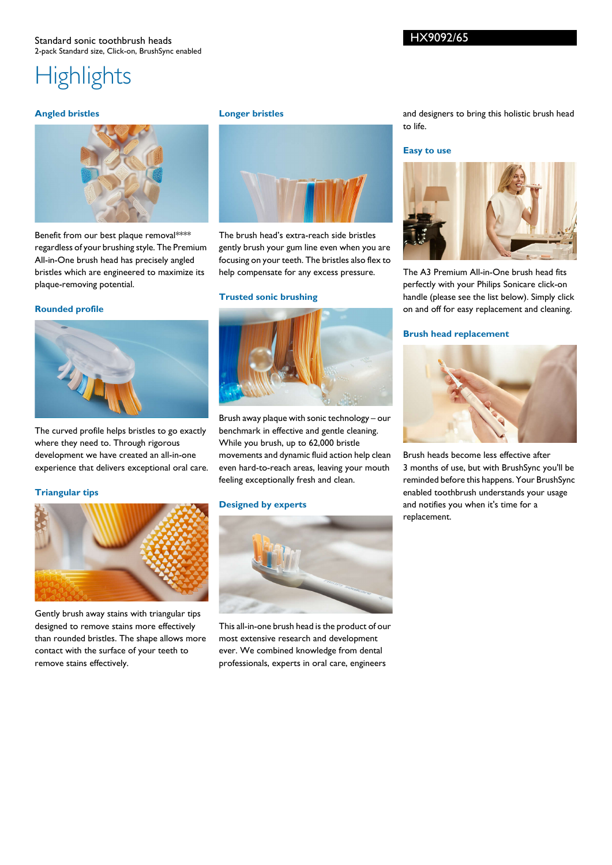#### Standard sonic toothbrush heads 2-pack Standard size, Click-on, BrushSync enabled

# **Highlights**

#### **Angled bristles**



Benefit from our best plaque removal\*\*\*\* regardless of your brushing style. The Premium All-in-One brush head has precisely angled bristles which are engineered to maximize its plaque-removing potential.

#### **Rounded profile**



The curved profile helps bristles to go exactly where they need to. Through rigorous development we have created an all-in-one experience that delivers exceptional oral care.

# **Triangular tips**



Gently brush away stains with triangular tips designed to remove stains more effectively than rounded bristles. The shape allows more contact with the surface of your teeth to remove stains effectively.

#### **Longer bristles**



The brush head's extra-reach side bristles gently brush your gum line even when you are focusing on your teeth. The bristles also flex to help compensate for any excess pressure.

#### **Trusted sonic brushing**



Brush away plaque with sonic technology – our benchmark in effective and gentle cleaning. While you brush, up to 62,000 bristle movements and dynamic fluid action help clean even hard-to-reach areas, leaving your mouth feeling exceptionally fresh and clean.

#### **Designed by experts**



This all-in-one brush head is the product of our most extensive research and development ever. We combined knowledge from dental professionals, experts in oral care, engineers

and designers to bring this holistic brush head to life.

#### **Easy to use**



The A3 Premium All-in-One brush head fits perfectly with your Philips Sonicare click-on handle (please see the list below). Simply click on and off for easy replacement and cleaning.

#### **Brush head replacement**



Brush heads become less effective after 3 months of use, but with BrushSync you'll be reminded before this happens. Your BrushSync enabled toothbrush understands your usage and notifies you when it's time for a replacement.